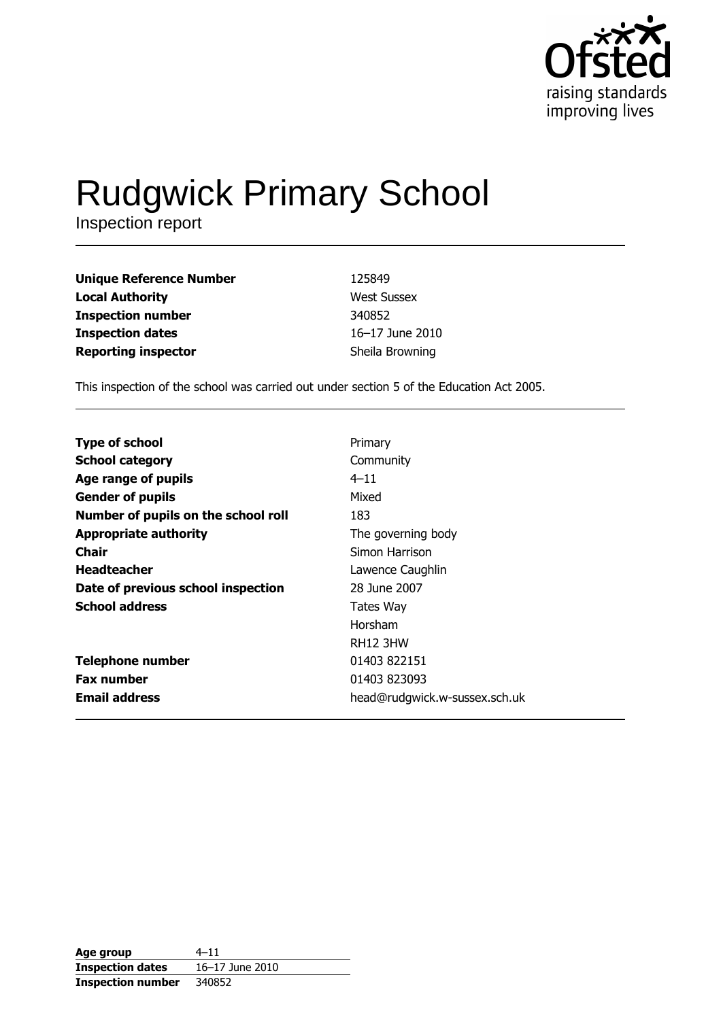

# Rudgwick Primary School

| <b>Unique Reference Number</b> | 125849             |
|--------------------------------|--------------------|
| <b>Local Authority</b>         | <b>West Sussex</b> |
| <b>Inspection number</b>       | 340852             |
| <b>Inspection dates</b>        | 16–17 June 2010    |
| <b>Reporting inspector</b>     | Sheila Browning    |

This inspection of the school was carried out under section 5 of the Education Act 2005.

| <b>Type of school</b><br><b>School category</b><br>Community<br>Age range of pupils<br>$4 - 11$<br>Mixed<br><b>Gender of pupils</b><br>Number of pupils on the school roll<br>183<br><b>Appropriate authority</b><br>The governing body<br>Chair<br>Simon Harrison<br><b>Headteacher</b><br>Lawence Caughlin<br>Date of previous school inspection<br>28 June 2007<br><b>School address</b><br>Tates Way<br>Horsham |
|---------------------------------------------------------------------------------------------------------------------------------------------------------------------------------------------------------------------------------------------------------------------------------------------------------------------------------------------------------------------------------------------------------------------|
|                                                                                                                                                                                                                                                                                                                                                                                                                     |
|                                                                                                                                                                                                                                                                                                                                                                                                                     |
|                                                                                                                                                                                                                                                                                                                                                                                                                     |
|                                                                                                                                                                                                                                                                                                                                                                                                                     |
|                                                                                                                                                                                                                                                                                                                                                                                                                     |
|                                                                                                                                                                                                                                                                                                                                                                                                                     |
|                                                                                                                                                                                                                                                                                                                                                                                                                     |
|                                                                                                                                                                                                                                                                                                                                                                                                                     |
|                                                                                                                                                                                                                                                                                                                                                                                                                     |
|                                                                                                                                                                                                                                                                                                                                                                                                                     |
| <b>RH12 3HW</b>                                                                                                                                                                                                                                                                                                                                                                                                     |
| <b>Telephone number</b><br>01403 822151                                                                                                                                                                                                                                                                                                                                                                             |
| <b>Fax number</b><br>01403 823093                                                                                                                                                                                                                                                                                                                                                                                   |
| <b>Email address</b><br>head@rudgwick.w-sussex.sch.uk                                                                                                                                                                                                                                                                                                                                                               |

| Age group                | $4 - 11$        |
|--------------------------|-----------------|
| <b>Inspection dates</b>  | 16-17 June 2010 |
| <b>Inspection number</b> | 340852          |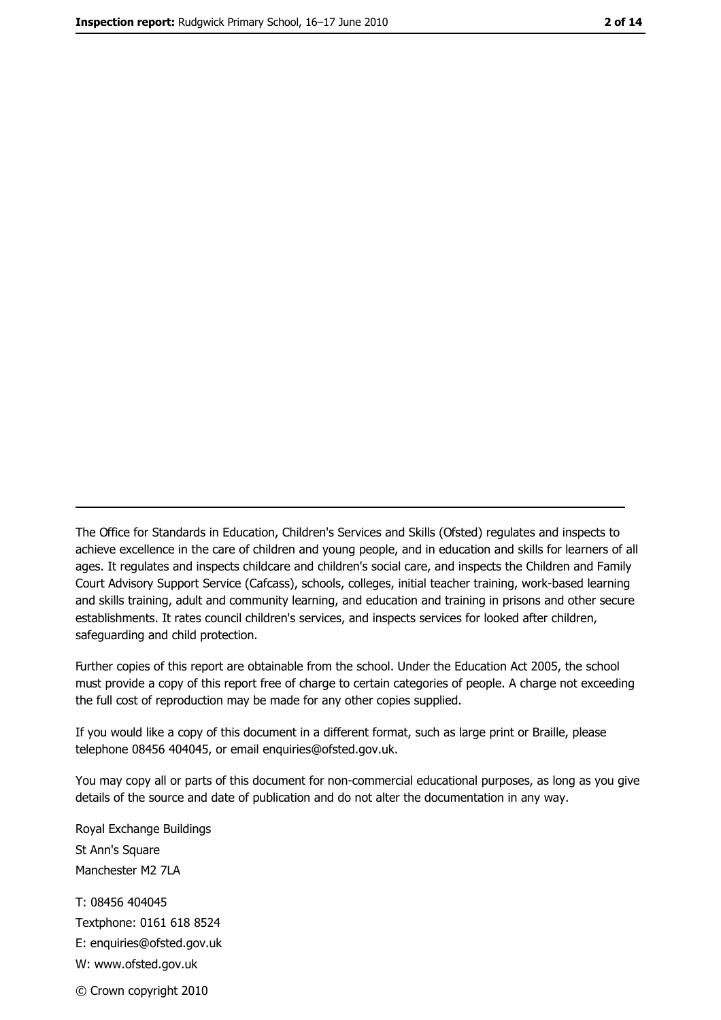The Office for Standards in Education, Children's Services and Skills (Ofsted) regulates and inspects to achieve excellence in the care of children and young people, and in education and skills for learners of all ages. It regulates and inspects childcare and children's social care, and inspects the Children and Family Court Advisory Support Service (Cafcass), schools, colleges, initial teacher training, work-based learning and skills training, adult and community learning, and education and training in prisons and other secure establishments. It rates council children's services, and inspects services for looked after children, safequarding and child protection.

Further copies of this report are obtainable from the school. Under the Education Act 2005, the school must provide a copy of this report free of charge to certain categories of people. A charge not exceeding the full cost of reproduction may be made for any other copies supplied.

If you would like a copy of this document in a different format, such as large print or Braille, please telephone 08456 404045, or email enquiries@ofsted.gov.uk.

You may copy all or parts of this document for non-commercial educational purposes, as long as you give details of the source and date of publication and do not alter the documentation in any way.

Royal Exchange Buildings St Ann's Square Manchester M2 7LA T: 08456 404045 Textphone: 0161 618 8524 E: enquiries@ofsted.gov.uk W: www.ofsted.gov.uk © Crown copyright 2010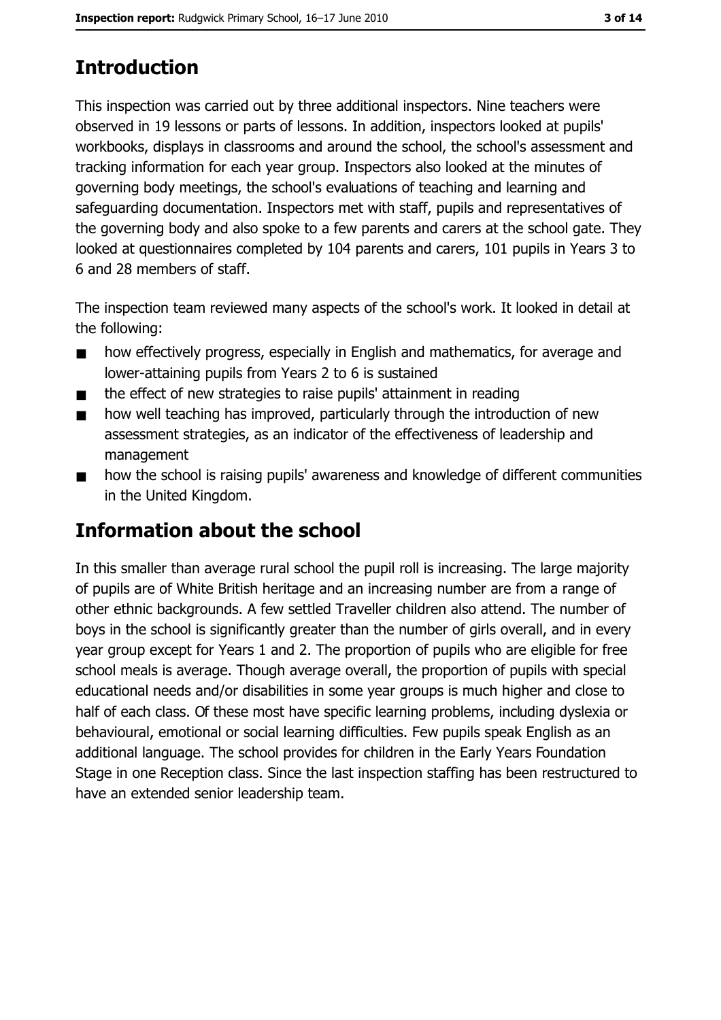# **Introduction**

This inspection was carried out by three additional inspectors. Nine teachers were observed in 19 lessons or parts of lessons. In addition, inspectors looked at pupils' workbooks, displays in classrooms and around the school, the school's assessment and tracking information for each year group. Inspectors also looked at the minutes of governing body meetings, the school's evaluations of teaching and learning and safeguarding documentation. Inspectors met with staff, pupils and representatives of the governing body and also spoke to a few parents and carers at the school gate. They looked at questionnaires completed by 104 parents and carers, 101 pupils in Years 3 to 6 and 28 members of staff.

The inspection team reviewed many aspects of the school's work. It looked in detail at the following:

- how effectively progress, especially in English and mathematics, for average and  $\blacksquare$ lower-attaining pupils from Years 2 to 6 is sustained
- the effect of new strategies to raise pupils' attainment in reading  $\blacksquare$
- how well teaching has improved, particularly through the introduction of new  $\blacksquare$ assessment strategies, as an indicator of the effectiveness of leadership and management
- how the school is raising pupils' awareness and knowledge of different communities  $\blacksquare$ in the United Kingdom.

# **Information about the school**

In this smaller than average rural school the pupil roll is increasing. The large majority of pupils are of White British heritage and an increasing number are from a range of other ethnic backgrounds. A few settled Traveller children also attend. The number of boys in the school is significantly greater than the number of girls overall, and in every year group except for Years 1 and 2. The proportion of pupils who are eligible for free school meals is average. Though average overall, the proportion of pupils with special educational needs and/or disabilities in some year groups is much higher and close to half of each class. Of these most have specific learning problems, including dyslexia or behavioural, emotional or social learning difficulties. Few pupils speak English as an additional language. The school provides for children in the Early Years Foundation Stage in one Reception class. Since the last inspection staffing has been restructured to have an extended senior leadership team.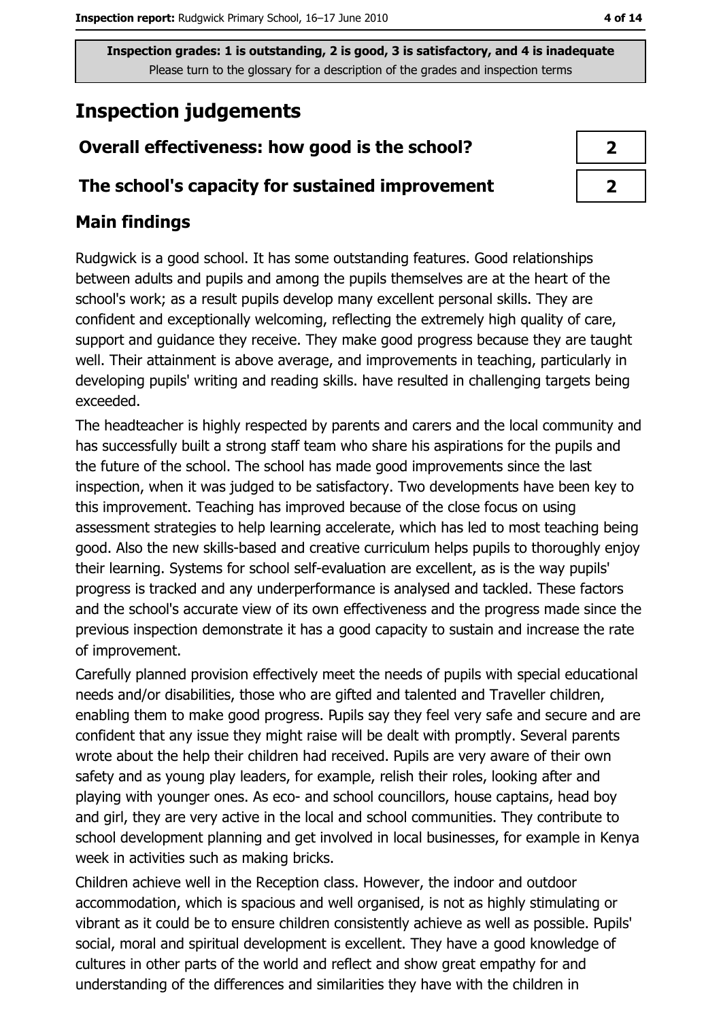# **Inspection judgements**

## Overall effectiveness: how good is the school?

#### The school's capacity for sustained improvement

## **Main findings**

Rudgwick is a good school. It has some outstanding features. Good relationships between adults and pupils and among the pupils themselves are at the heart of the school's work; as a result pupils develop many excellent personal skills. They are confident and exceptionally welcoming, reflecting the extremely high quality of care, support and quidance they receive. They make good progress because they are taught well. Their attainment is above average, and improvements in teaching, particularly in developing pupils' writing and reading skills. have resulted in challenging targets being exceeded.

The headteacher is highly respected by parents and carers and the local community and has successfully built a strong staff team who share his aspirations for the pupils and the future of the school. The school has made good improvements since the last inspection, when it was judged to be satisfactory. Two developments have been key to this improvement. Teaching has improved because of the close focus on using assessment strategies to help learning accelerate, which has led to most teaching being good. Also the new skills-based and creative curriculum helps pupils to thoroughly enjoy their learning. Systems for school self-evaluation are excellent, as is the way pupils' progress is tracked and any underperformance is analysed and tackled. These factors and the school's accurate view of its own effectiveness and the progress made since the previous inspection demonstrate it has a good capacity to sustain and increase the rate of improvement.

Carefully planned provision effectively meet the needs of pupils with special educational needs and/or disabilities, those who are gifted and talented and Traveller children, enabling them to make good progress. Pupils say they feel very safe and secure and are confident that any issue they might raise will be dealt with promptly. Several parents wrote about the help their children had received. Pupils are very aware of their own safety and as young play leaders, for example, relish their roles, looking after and playing with younger ones. As eco- and school councillors, house captains, head boy and girl, they are very active in the local and school communities. They contribute to school development planning and get involved in local businesses, for example in Kenya week in activities such as making bricks.

Children achieve well in the Reception class. However, the indoor and outdoor accommodation, which is spacious and well organised, is not as highly stimulating or vibrant as it could be to ensure children consistently achieve as well as possible. Pupils' social, moral and spiritual development is excellent. They have a good knowledge of cultures in other parts of the world and reflect and show great empathy for and understanding of the differences and similarities they have with the children in

| 7 |  |
|---|--|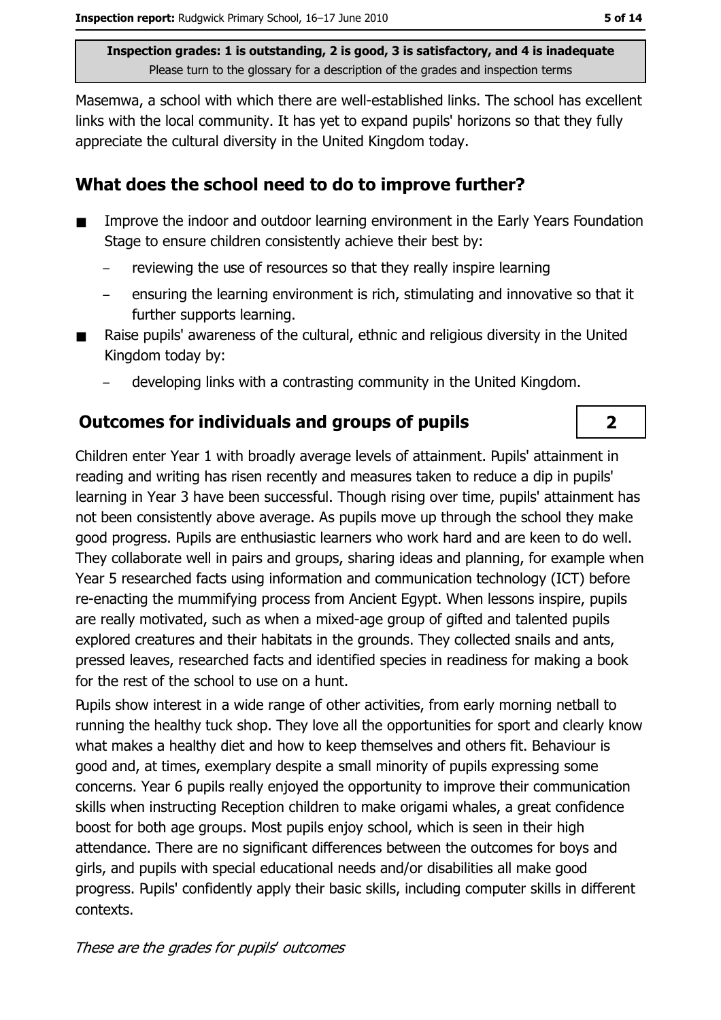Masemwa, a school with which there are well-established links. The school has excellent links with the local community. It has yet to expand pupils' horizons so that they fully appreciate the cultural diversity in the United Kingdom today.

### What does the school need to do to improve further?

- Improve the indoor and outdoor learning environment in the Early Years Foundation  $\blacksquare$ Stage to ensure children consistently achieve their best by:
	- reviewing the use of resources so that they really inspire learning
	- ensuring the learning environment is rich, stimulating and innovative so that it further supports learning.
- Raise pupils' awareness of the cultural, ethnic and religious diversity in the United Kingdom today by:
	- developing links with a contrasting community in the United Kingdom.

## **Outcomes for individuals and groups of pupils**

Children enter Year 1 with broadly average levels of attainment. Pupils' attainment in reading and writing has risen recently and measures taken to reduce a dip in pupils' learning in Year 3 have been successful. Though rising over time, pupils' attainment has not been consistently above average. As pupils move up through the school they make good progress. Pupils are enthusiastic learners who work hard and are keen to do well. They collaborate well in pairs and groups, sharing ideas and planning, for example when Year 5 researched facts using information and communication technology (ICT) before re-enacting the mummifying process from Ancient Egypt. When lessons inspire, pupils are really motivated, such as when a mixed-age group of gifted and talented pupils explored creatures and their habitats in the grounds. They collected snails and ants, pressed leaves, researched facts and identified species in readiness for making a book for the rest of the school to use on a hunt.

Pupils show interest in a wide range of other activities, from early morning netball to running the healthy tuck shop. They love all the opportunities for sport and clearly know what makes a healthy diet and how to keep themselves and others fit. Behaviour is good and, at times, exemplary despite a small minority of pupils expressing some concerns. Year 6 pupils really enjoyed the opportunity to improve their communication skills when instructing Reception children to make origami whales, a great confidence boost for both age groups. Most pupils enjoy school, which is seen in their high attendance. There are no significant differences between the outcomes for boys and girls, and pupils with special educational needs and/or disabilities all make good progress. Pupils' confidently apply their basic skills, including computer skills in different contexts.

 $\overline{2}$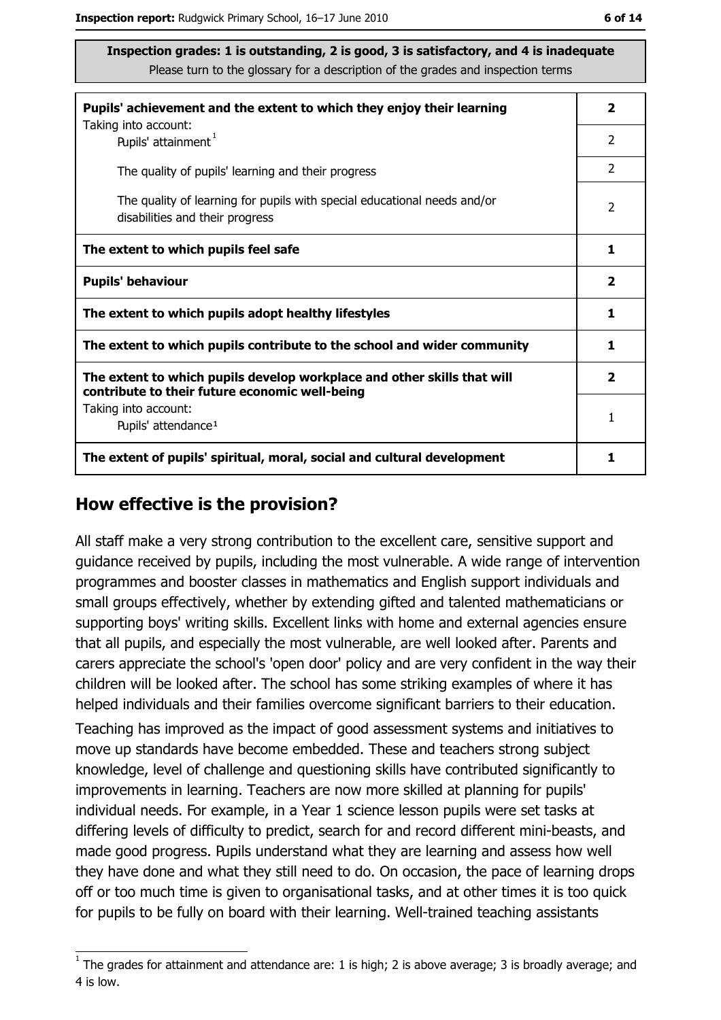| Pupils' achievement and the extent to which they enjoy their learning                                                     |                         |  |  |
|---------------------------------------------------------------------------------------------------------------------------|-------------------------|--|--|
| Taking into account:<br>Pupils' attainment <sup>1</sup>                                                                   | $\overline{2}$          |  |  |
| The quality of pupils' learning and their progress                                                                        |                         |  |  |
| The quality of learning for pupils with special educational needs and/or<br>disabilities and their progress               |                         |  |  |
| The extent to which pupils feel safe                                                                                      | 1                       |  |  |
| <b>Pupils' behaviour</b>                                                                                                  | $\overline{\mathbf{2}}$ |  |  |
| The extent to which pupils adopt healthy lifestyles                                                                       | 1                       |  |  |
| The extent to which pupils contribute to the school and wider community                                                   | 1                       |  |  |
| The extent to which pupils develop workplace and other skills that will<br>contribute to their future economic well-being |                         |  |  |
| Taking into account:<br>Pupils' attendance <sup>1</sup>                                                                   | 1                       |  |  |
| The extent of pupils' spiritual, moral, social and cultural development                                                   | 1                       |  |  |

#### How effective is the provision?

All staff make a very strong contribution to the excellent care, sensitive support and quidance received by pupils, including the most vulnerable. A wide range of intervention programmes and booster classes in mathematics and English support individuals and small groups effectively, whether by extending gifted and talented mathematicians or supporting boys' writing skills. Excellent links with home and external agencies ensure that all pupils, and especially the most vulnerable, are well looked after. Parents and carers appreciate the school's 'open door' policy and are very confident in the way their children will be looked after. The school has some striking examples of where it has helped individuals and their families overcome significant barriers to their education.

Teaching has improved as the impact of good assessment systems and initiatives to move up standards have become embedded. These and teachers strong subject knowledge, level of challenge and questioning skills have contributed significantly to improvements in learning. Teachers are now more skilled at planning for pupils' individual needs. For example, in a Year 1 science lesson pupils were set tasks at differing levels of difficulty to predict, search for and record different mini-beasts, and made good progress. Pupils understand what they are learning and assess how well they have done and what they still need to do. On occasion, the pace of learning drops off or too much time is given to organisational tasks, and at other times it is too quick for pupils to be fully on board with their learning. Well-trained teaching assistants

 $1$  The arades for attainment and attendance are: 1 is high; 2 is above average; 3 is broadly average; and 4 is low.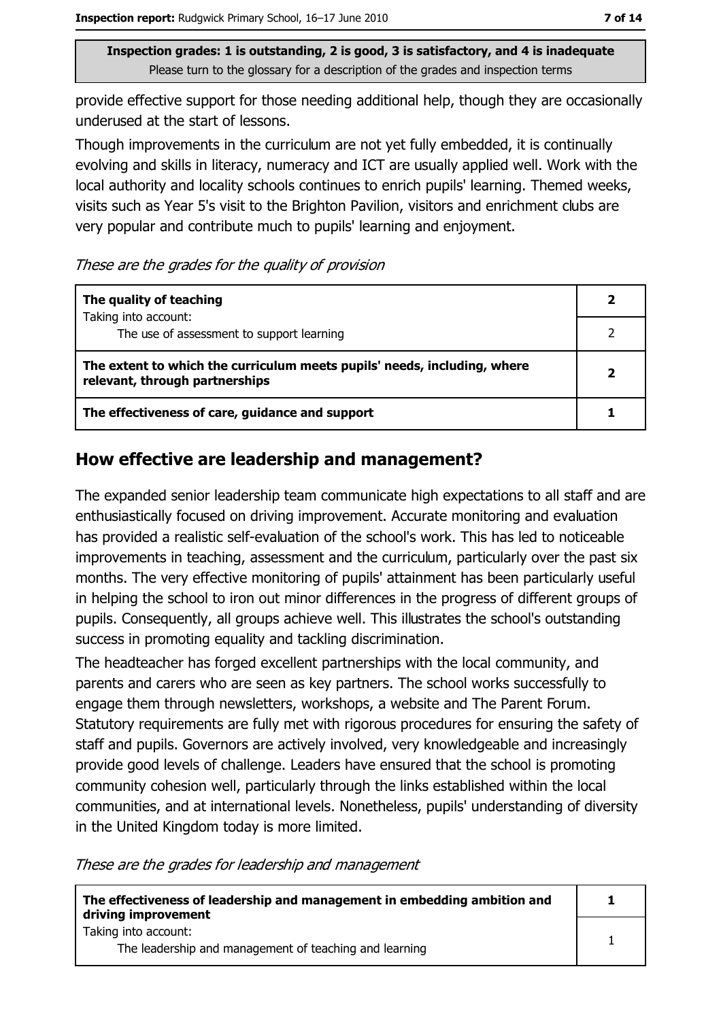provide effective support for those needing additional help, though they are occasionally underused at the start of lessons.

Though improvements in the curriculum are not yet fully embedded, it is continually evolving and skills in literacy, numeracy and ICT are usually applied well. Work with the local authority and locality schools continues to enrich pupils' learning. Themed weeks, visits such as Year 5's visit to the Brighton Pavilion, visitors and enrichment clubs are very popular and contribute much to pupils' learning and enjoyment.

These are the grades for the quality of provision

| The quality of teaching                                                                                    |  |  |  |  |
|------------------------------------------------------------------------------------------------------------|--|--|--|--|
| Taking into account:<br>The use of assessment to support learning                                          |  |  |  |  |
| The extent to which the curriculum meets pupils' needs, including, where<br>relevant, through partnerships |  |  |  |  |
| The effectiveness of care, guidance and support                                                            |  |  |  |  |

#### How effective are leadership and management?

The expanded senior leadership team communicate high expectations to all staff and are enthusiastically focused on driving improvement. Accurate monitoring and evaluation has provided a realistic self-evaluation of the school's work. This has led to noticeable improvements in teaching, assessment and the curriculum, particularly over the past six months. The very effective monitoring of pupils' attainment has been particularly useful in helping the school to iron out minor differences in the progress of different groups of pupils. Consequently, all groups achieve well. This illustrates the school's outstanding success in promoting equality and tackling discrimination.

The headteacher has forged excellent partnerships with the local community, and parents and carers who are seen as key partners. The school works successfully to engage them through newsletters, workshops, a website and The Parent Forum. Statutory requirements are fully met with rigorous procedures for ensuring the safety of staff and pupils. Governors are actively involved, very knowledgeable and increasingly provide good levels of challenge. Leaders have ensured that the school is promoting community cohesion well, particularly through the links established within the local communities, and at international levels. Nonetheless, pupils' understanding of diversity in the United Kingdom today is more limited.

These are the grades for leadership and management

| The effectiveness of leadership and management in embedding ambition and<br>driving improvement |  |  |
|-------------------------------------------------------------------------------------------------|--|--|
| Taking into account:<br>The leadership and management of teaching and learning                  |  |  |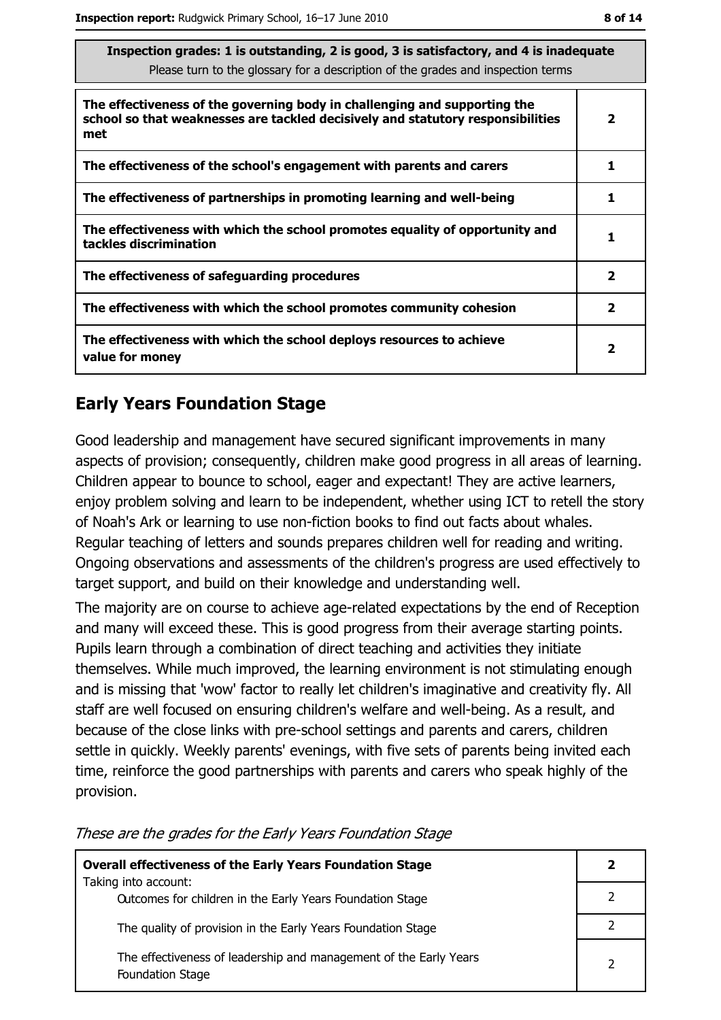| Inspection grades: 1 is outstanding, 2 is good, 3 is satisfactory, and 4 is inadequate<br>Please turn to the glossary for a description of the grades and inspection terms<br>The effectiveness of the governing body in challenging and supporting the<br>school so that weaknesses are tackled decisively and statutory responsibilities<br>$\overline{\mathbf{2}}$ |  |
|-----------------------------------------------------------------------------------------------------------------------------------------------------------------------------------------------------------------------------------------------------------------------------------------------------------------------------------------------------------------------|--|
|                                                                                                                                                                                                                                                                                                                                                                       |  |
| met                                                                                                                                                                                                                                                                                                                                                                   |  |
| The effectiveness of the school's engagement with parents and carers<br>1                                                                                                                                                                                                                                                                                             |  |
| The effectiveness of partnerships in promoting learning and well-being<br>1                                                                                                                                                                                                                                                                                           |  |
| The effectiveness with which the school promotes equality of opportunity and<br>1<br>tackles discrimination                                                                                                                                                                                                                                                           |  |
| $\overline{\mathbf{2}}$<br>The effectiveness of safeguarding procedures                                                                                                                                                                                                                                                                                               |  |
| $\overline{\mathbf{2}}$<br>The effectiveness with which the school promotes community cohesion                                                                                                                                                                                                                                                                        |  |
| The effectiveness with which the school deploys resources to achieve<br>2<br>value for money                                                                                                                                                                                                                                                                          |  |

## **Early Years Foundation Stage**

Good leadership and management have secured significant improvements in many aspects of provision; consequently, children make good progress in all areas of learning. Children appear to bounce to school, eager and expectant! They are active learners, enjoy problem solving and learn to be independent, whether using ICT to retell the story of Noah's Ark or learning to use non-fiction books to find out facts about whales. Regular teaching of letters and sounds prepares children well for reading and writing. Ongoing observations and assessments of the children's progress are used effectively to target support, and build on their knowledge and understanding well.

The majority are on course to achieve age-related expectations by the end of Reception and many will exceed these. This is good progress from their average starting points. Pupils learn through a combination of direct teaching and activities they initiate themselves. While much improved, the learning environment is not stimulating enough and is missing that 'wow' factor to really let children's imaginative and creativity fly. All staff are well focused on ensuring children's welfare and well-being. As a result, and because of the close links with pre-school settings and parents and carers, children settle in quickly. Weekly parents' evenings, with five sets of parents being invited each time, reinforce the good partnerships with parents and carers who speak highly of the provision.

| <b>Overall effectiveness of the Early Years Foundation Stage</b><br>Taking into account:     |  |
|----------------------------------------------------------------------------------------------|--|
| Outcomes for children in the Early Years Foundation Stage                                    |  |
| The quality of provision in the Early Years Foundation Stage                                 |  |
| The effectiveness of leadership and management of the Early Years<br><b>Foundation Stage</b> |  |

These are the grades for the Early Years Foundation Stage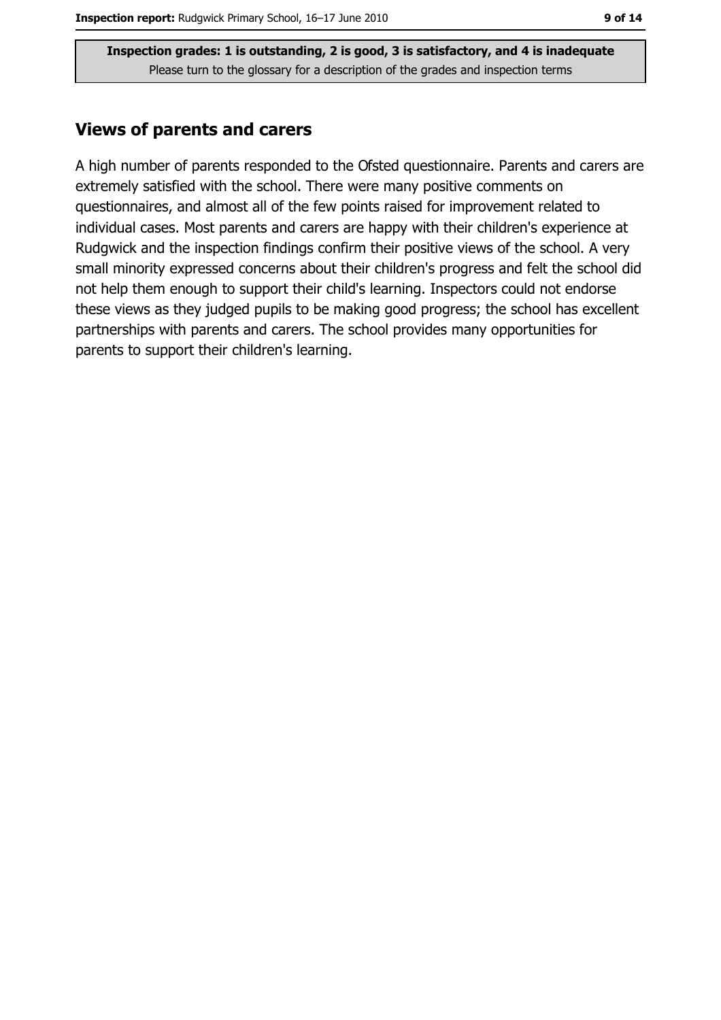#### **Views of parents and carers**

A high number of parents responded to the Ofsted questionnaire. Parents and carers are extremely satisfied with the school. There were many positive comments on questionnaires, and almost all of the few points raised for improvement related to individual cases. Most parents and carers are happy with their children's experience at Rudgwick and the inspection findings confirm their positive views of the school. A very small minority expressed concerns about their children's progress and felt the school did not help them enough to support their child's learning. Inspectors could not endorse these views as they judged pupils to be making good progress; the school has excellent partnerships with parents and carers. The school provides many opportunities for parents to support their children's learning.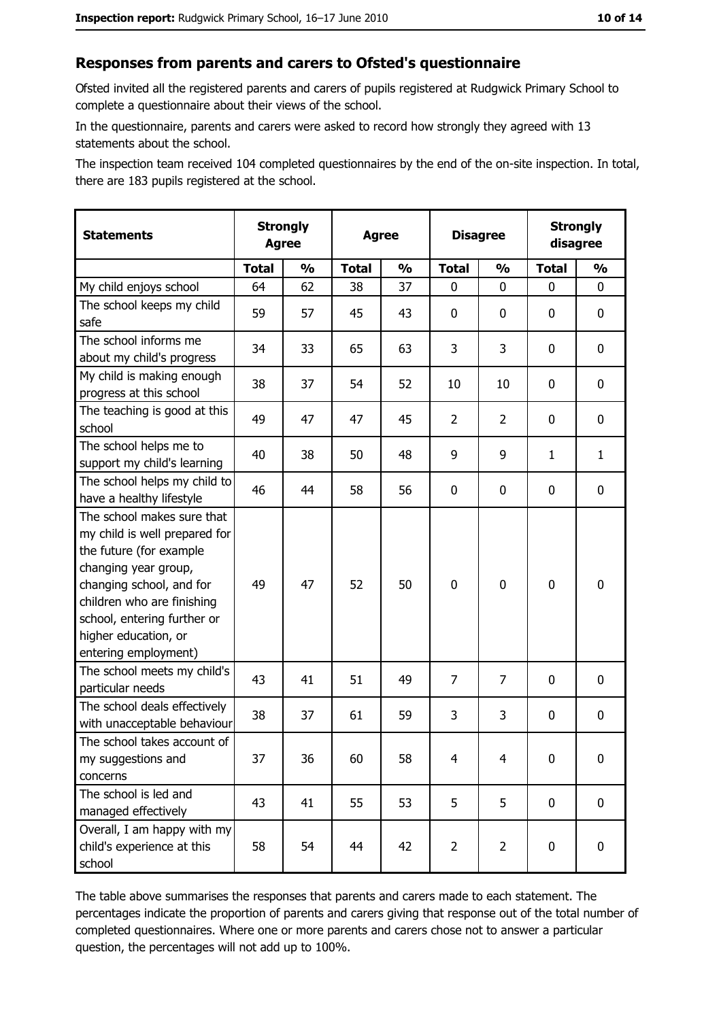#### Responses from parents and carers to Ofsted's questionnaire

Ofsted invited all the registered parents and carers of pupils registered at Rudgwick Primary School to complete a questionnaire about their views of the school.

In the questionnaire, parents and carers were asked to record how strongly they agreed with 13 statements about the school.

The inspection team received 104 completed questionnaires by the end of the on-site inspection. In total, there are 183 pupils registered at the school.

| <b>Statements</b>                                                                                                                                                                                                                                       | <b>Strongly</b><br><b>Agree</b><br><b>Agree</b> |               |              | <b>Disagree</b> |                | <b>Strongly</b><br>disagree |              |               |
|---------------------------------------------------------------------------------------------------------------------------------------------------------------------------------------------------------------------------------------------------------|-------------------------------------------------|---------------|--------------|-----------------|----------------|-----------------------------|--------------|---------------|
|                                                                                                                                                                                                                                                         | <b>Total</b>                                    | $\frac{1}{2}$ | <b>Total</b> | $\frac{1}{2}$   | <b>Total</b>   | $\frac{0}{0}$               | <b>Total</b> | $\frac{1}{2}$ |
| My child enjoys school                                                                                                                                                                                                                                  | 64                                              | 62            | 38           | 37              | 0              | 0                           | $\Omega$     | 0             |
| The school keeps my child<br>safe                                                                                                                                                                                                                       | 59                                              | 57            | 45           | 43              | 0              | 0                           | 0            | 0             |
| The school informs me<br>about my child's progress                                                                                                                                                                                                      | 34                                              | 33            | 65           | 63              | 3              | 3                           | 0            | $\mathbf 0$   |
| My child is making enough<br>progress at this school                                                                                                                                                                                                    | 38                                              | 37            | 54           | 52              | 10             | 10                          | 0            | 0             |
| The teaching is good at this<br>school                                                                                                                                                                                                                  | 49                                              | 47            | 47           | 45              | $\overline{2}$ | $\overline{2}$              | 0            | 0             |
| The school helps me to<br>support my child's learning                                                                                                                                                                                                   | 40                                              | 38            | 50           | 48              | 9              | 9                           | $\mathbf{1}$ | $\mathbf{1}$  |
| The school helps my child to<br>have a healthy lifestyle                                                                                                                                                                                                | 46                                              | 44            | 58           | 56              | $\mathbf 0$    | 0                           | 0            | 0             |
| The school makes sure that<br>my child is well prepared for<br>the future (for example<br>changing year group,<br>changing school, and for<br>children who are finishing<br>school, entering further or<br>higher education, or<br>entering employment) | 49                                              | 47            | 52           | 50              | $\overline{0}$ | 0                           | $\mathbf 0$  | $\mathbf 0$   |
| The school meets my child's<br>particular needs                                                                                                                                                                                                         | 43                                              | 41            | 51           | 49              | $\overline{7}$ | 7                           | 0            | 0             |
| The school deals effectively<br>with unacceptable behaviour                                                                                                                                                                                             | 38                                              | 37            | 61           | 59              | 3              | 3                           | 0            | $\mathbf 0$   |
| The school takes account of<br>my suggestions and<br>concerns                                                                                                                                                                                           | 37                                              | 36            | 60           | 58              | $\overline{4}$ | 4                           | 0            | 0             |
| The school is led and<br>managed effectively                                                                                                                                                                                                            | 43                                              | 41            | 55           | 53              | 5              | 5                           | $\bf{0}$     | $\mathbf 0$   |
| Overall, I am happy with my<br>child's experience at this<br>school                                                                                                                                                                                     | 58                                              | 54            | 44           | 42              | $\overline{2}$ | $\overline{2}$              | $\mathbf 0$  | $\mathbf 0$   |

The table above summarises the responses that parents and carers made to each statement. The percentages indicate the proportion of parents and carers giving that response out of the total number of completed questionnaires. Where one or more parents and carers chose not to answer a particular question, the percentages will not add up to 100%.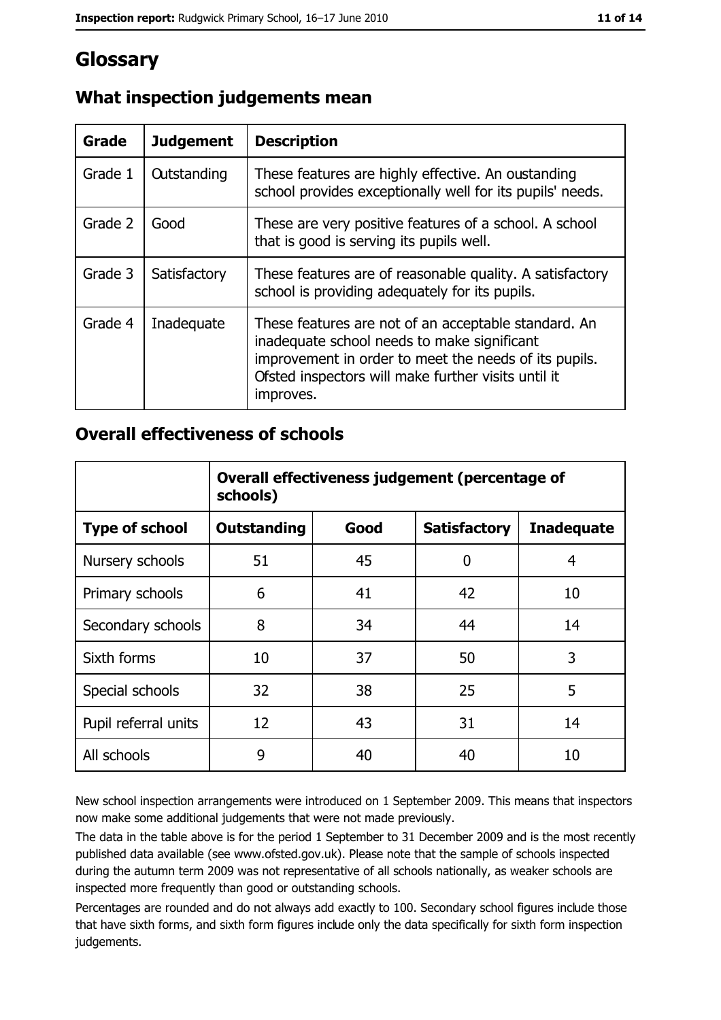# Glossary

| Grade   | <b>Judgement</b>   | <b>Description</b>                                                                                                                                                                                                               |
|---------|--------------------|----------------------------------------------------------------------------------------------------------------------------------------------------------------------------------------------------------------------------------|
| Grade 1 | <b>Outstanding</b> | These features are highly effective. An oustanding<br>school provides exceptionally well for its pupils' needs.                                                                                                                  |
| Grade 2 | Good               | These are very positive features of a school. A school<br>that is good is serving its pupils well.                                                                                                                               |
| Grade 3 | Satisfactory       | These features are of reasonable quality. A satisfactory<br>school is providing adequately for its pupils.                                                                                                                       |
| Grade 4 | Inadequate         | These features are not of an acceptable standard. An<br>inadequate school needs to make significant<br>improvement in order to meet the needs of its pupils.<br>Ofsted inspectors will make further visits until it<br>improves. |

# What inspection judgements mean

## **Overall effectiveness of schools**

|                       | Overall effectiveness judgement (percentage of<br>schools) |      |                     |                   |
|-----------------------|------------------------------------------------------------|------|---------------------|-------------------|
| <b>Type of school</b> | <b>Outstanding</b>                                         | Good | <b>Satisfactory</b> | <b>Inadequate</b> |
| Nursery schools       | 51                                                         | 45   | 0                   | 4                 |
| Primary schools       | 6                                                          | 41   | 42                  | 10                |
| Secondary schools     | 8                                                          | 34   | 44                  | 14                |
| Sixth forms           | 10                                                         | 37   | 50                  | 3                 |
| Special schools       | 32                                                         | 38   | 25                  | 5                 |
| Pupil referral units  | 12                                                         | 43   | 31                  | 14                |
| All schools           | 9                                                          | 40   | 40                  | 10                |

New school inspection arrangements were introduced on 1 September 2009. This means that inspectors now make some additional judgements that were not made previously.

The data in the table above is for the period 1 September to 31 December 2009 and is the most recently published data available (see www.ofsted.gov.uk). Please note that the sample of schools inspected during the autumn term 2009 was not representative of all schools nationally, as weaker schools are inspected more frequently than good or outstanding schools.

Percentages are rounded and do not always add exactly to 100. Secondary school figures include those that have sixth forms, and sixth form figures include only the data specifically for sixth form inspection judgements.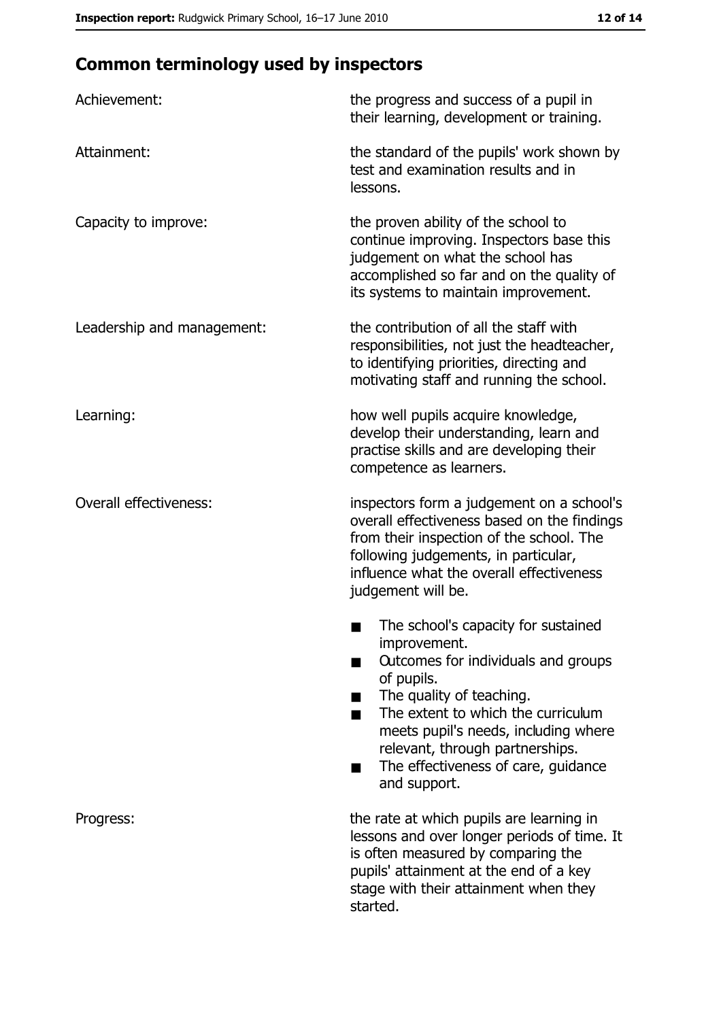# **Common terminology used by inspectors**

| Achievement:                  | the progress and success of a pupil in<br>their learning, development or training.                                                                                                                                                                                                                           |  |  |
|-------------------------------|--------------------------------------------------------------------------------------------------------------------------------------------------------------------------------------------------------------------------------------------------------------------------------------------------------------|--|--|
| Attainment:                   | the standard of the pupils' work shown by<br>test and examination results and in<br>lessons.                                                                                                                                                                                                                 |  |  |
| Capacity to improve:          | the proven ability of the school to<br>continue improving. Inspectors base this<br>judgement on what the school has<br>accomplished so far and on the quality of<br>its systems to maintain improvement.                                                                                                     |  |  |
| Leadership and management:    | the contribution of all the staff with<br>responsibilities, not just the headteacher,<br>to identifying priorities, directing and<br>motivating staff and running the school.                                                                                                                                |  |  |
| Learning:                     | how well pupils acquire knowledge,<br>develop their understanding, learn and<br>practise skills and are developing their<br>competence as learners.                                                                                                                                                          |  |  |
| <b>Overall effectiveness:</b> | inspectors form a judgement on a school's<br>overall effectiveness based on the findings<br>from their inspection of the school. The<br>following judgements, in particular,<br>influence what the overall effectiveness<br>judgement will be.                                                               |  |  |
|                               | The school's capacity for sustained<br>improvement.<br>Outcomes for individuals and groups<br>of pupils.<br>The quality of teaching.<br>The extent to which the curriculum<br>meets pupil's needs, including where<br>relevant, through partnerships.<br>The effectiveness of care, guidance<br>and support. |  |  |
| Progress:                     | the rate at which pupils are learning in<br>lessons and over longer periods of time. It<br>is often measured by comparing the<br>pupils' attainment at the end of a key<br>stage with their attainment when they<br>started.                                                                                 |  |  |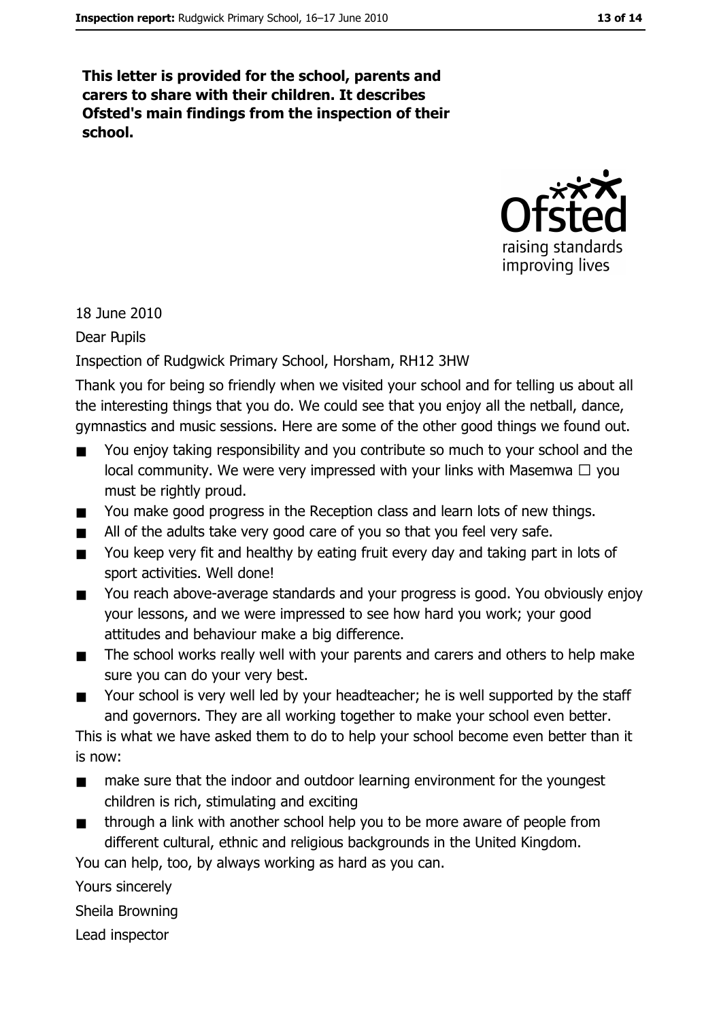This letter is provided for the school, parents and carers to share with their children. It describes Ofsted's main findings from the inspection of their school.



18 June 2010

Dear Pupils

Inspection of Rudgwick Primary School, Horsham, RH12 3HW

Thank you for being so friendly when we visited your school and for telling us about all the interesting things that you do. We could see that you enjoy all the netball, dance, gymnastics and music sessions. Here are some of the other good things we found out.

- You enjoy taking responsibility and you contribute so much to your school and the local community. We were very impressed with your links with Masemwa  $\Box$  you must be rightly proud.
- You make good progress in the Reception class and learn lots of new things.  $\blacksquare$
- All of the adults take very good care of you so that you feel very safe.  $\blacksquare$
- You keep very fit and healthy by eating fruit every day and taking part in lots of  $\blacksquare$ sport activities. Well done!
- You reach above-average standards and your progress is good. You obviously enjoy  $\blacksquare$ your lessons, and we were impressed to see how hard you work; your good attitudes and behaviour make a big difference.
- The school works really well with your parents and carers and others to help make  $\blacksquare$ sure you can do your very best.
- Your school is very well led by your headteacher; he is well supported by the staff  $\blacksquare$ and governors. They are all working together to make your school even better.

This is what we have asked them to do to help your school become even better than it is now:

- make sure that the indoor and outdoor learning environment for the youngest  $\blacksquare$ children is rich, stimulating and exciting
- through a link with another school help you to be more aware of people from  $\blacksquare$ different cultural, ethnic and religious backgrounds in the United Kingdom.

You can help, too, by always working as hard as you can.

Yours sincerely

Sheila Browning

Lead inspector